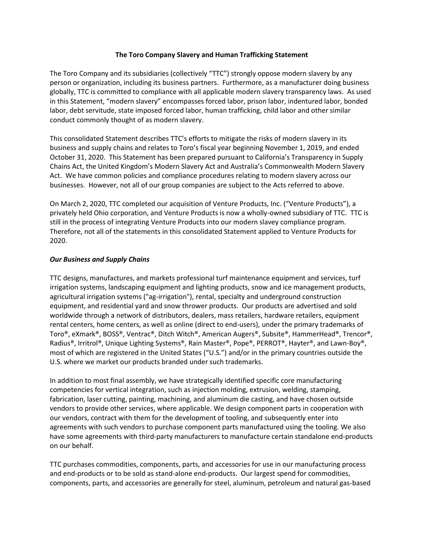#### **The Toro Company Slavery and Human Trafficking Statement**

The Toro Company and its subsidiaries (collectively "TTC") strongly oppose modern slavery by any person or organization, including its business partners. Furthermore, as a manufacturer doing business globally, TTC is committed to compliance with all applicable modern slavery transparency laws. As used in this Statement, "modern slavery" encompasses forced labor, prison labor, indentured labor, bonded labor, debt servitude, state imposed forced labor, human trafficking, child labor and other similar conduct commonly thought of as modern slavery.

This consolidated Statement describes TTC's efforts to mitigate the risks of modern slavery in its business and supply chains and relates to Toro's fiscal year beginning November 1, 2019, and ended October 31, 2020. This Statement has been prepared pursuant to California's Transparency in Supply Chains Act, the United Kingdom's Modern Slavery Act and Australia's Commonwealth Modern Slavery Act. We have common policies and compliance procedures relating to modern slavery across our businesses. However, not all of our group companies are subject to the Acts referred to above.

On March 2, 2020, TTC completed our acquisition of Venture Products, Inc. ("Venture Products"), a privately held Ohio corporation, and Venture Products is now a wholly-owned subsidiary of TTC. TTC is still in the process of integrating Venture Products into our modern slavey compliance program. Therefore, not all of the statements in this consolidated Statement applied to Venture Products for 2020.

### *Our Business and Supply Chains*

TTC designs, manufactures, and markets professional turf maintenance equipment and services, turf irrigation systems, landscaping equipment and lighting products, snow and ice management products, agricultural irrigation systems ("ag-irrigation"), rental, specialty and underground construction equipment, and residential yard and snow thrower products. Our products are advertised and sold worldwide through a network of distributors, dealers, mass retailers, hardware retailers, equipment rental centers, home centers, as well as online (direct to end-users), under the primary trademarks of Toro®, eXmark®, BOSS®, Ventrac®, Ditch Witch®, American Augers®, Subsite®, HammerHead®, Trencor®, Radius®, Irritrol®, Unique Lighting Systems®, Rain Master®, Pope®, PERROT®, Hayter®, and Lawn-Boy®, most of which are registered in the United States ("U.S.") and/or in the primary countries outside the U.S. where we market our products branded under such trademarks.

In addition to most final assembly, we have strategically identified specific core manufacturing competencies for vertical integration, such as injection molding, extrusion, welding, stamping, fabrication, laser cutting, painting, machining, and aluminum die casting, and have chosen outside vendors to provide other services, where applicable. We design component parts in cooperation with our vendors, contract with them for the development of tooling, and subsequently enter into agreements with such vendors to purchase component parts manufactured using the tooling. We also have some agreements with third-party manufacturers to manufacture certain standalone end-products on our behalf.

TTC purchases commodities, components, parts, and accessories for use in our manufacturing process and end-products or to be sold as stand-alone end-products. Our largest spend for commodities, components, parts, and accessories are generally for steel, aluminum, petroleum and natural gas-based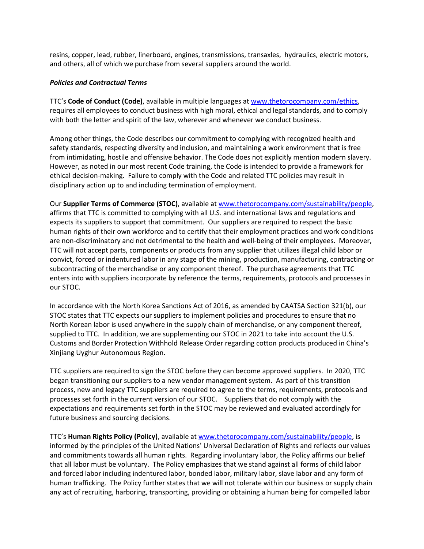resins, copper, lead, rubber, linerboard, engines, transmissions, transaxles, hydraulics, electric motors, and others, all of which we purchase from several suppliers around the world.

### *Policies and Contractual Terms*

TTC's **Code of Conduct (Code)**, available in multiple languages a[t www.thetorocompany.com/ethics,](https://thetorocompany.gcs-web.com/corporate-governance/code-conduct) requires all employees to conduct business with high moral, ethical and legal standards, and to comply with both the letter and spirit of the law, wherever and whenever we conduct business.

Among other things, the Code describes our commitment to complying with recognized health and safety standards, respecting diversity and inclusion, and maintaining a work environment that is free from intimidating, hostile and offensive behavior. The Code does not explicitly mention modern slavery. However, as noted in our most recent Code training, the Code is intended to provide a framework for ethical decision-making. Failure to comply with the Code and related TTC policies may result in disciplinary action up to and including termination of employment.

Our **Supplier Terms of Commerce (STOC)**, available a[t www.thetorocompany.com/sustainability/people,](http://www.thetorocompany.com/sustainability/people) affirms that TTC is committed to complying with all U.S. and international laws and regulations and expects its suppliers to support that commitment. Our suppliers are required to respect the basic human rights of their own workforce and to certify that their employment practices and work conditions are non-discriminatory and not detrimental to the health and well-being of their employees. Moreover, TTC will not accept parts, components or products from any supplier that utilizes illegal child labor or convict, forced or indentured labor in any stage of the mining, production, manufacturing, contracting or subcontracting of the merchandise or any component thereof. The purchase agreements that TTC enters into with suppliers incorporate by reference the terms, requirements, protocols and processes in our STOC.

In accordance with the North Korea Sanctions Act of 2016, as amended by CAATSA Section 321(b), our STOC states that TTC expects our suppliers to implement policies and procedures to ensure that no North Korean labor is used anywhere in the supply chain of merchandise, or any component thereof, supplied to TTC. In addition, we are supplementing our STOC in 2021 to take into account the U.S. Customs and Border Protection Withhold Release Order regarding cotton products produced in China's Xinjiang Uyghur Autonomous Region.

TTC suppliers are required to sign the STOC before they can become approved suppliers. In 2020, TTC began transitioning our suppliers to a new vendor management system. As part of this transition process, new and legacy TTC suppliers are required to agree to the terms, requirements, protocols and processes set forth in the current version of our STOC. Suppliers that do not comply with the expectations and requirements set forth in the STOC may be reviewed and evaluated accordingly for future business and sourcing decisions.

TTC's **Human Rights Policy (Policy)**, available a[t www.thetorocompany.com/sustainability/people,](http://www.thetorocompany.com/sustainability/people) is informed by the principles of the United Nations' Universal Declaration of Rights and reflects our values and commitments towards all human rights. Regarding involuntary labor, the Policy affirms our belief that all labor must be voluntary. The Policy emphasizes that we stand against all forms of child labor and forced labor including indentured labor, bonded labor, military labor, slave labor and any form of human trafficking. The Policy further states that we will not tolerate within our business or supply chain any act of recruiting, harboring, transporting, providing or obtaining a human being for compelled labor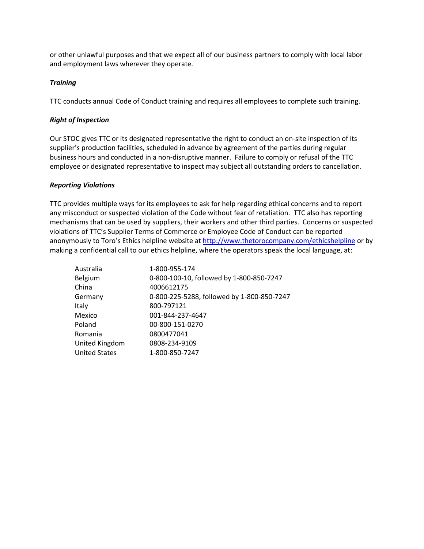or other unlawful purposes and that we expect all of our business partners to comply with local labor and employment laws wherever they operate.

## *Training*

TTC conducts annual Code of Conduct training and requires all employees to complete such training.

## *Right of Inspection*

Our STOC gives TTC or its designated representative the right to conduct an on-site inspection of its supplier's production facilities, scheduled in advance by agreement of the parties during regular business hours and conducted in a non-disruptive manner. Failure to comply or refusal of the TTC employee or designated representative to inspect may subject all outstanding orders to cancellation.

# *Reporting Violations*

TTC provides multiple ways for its employees to ask for help regarding ethical concerns and to report any misconduct or suspected violation of the Code without fear of retaliation. TTC also has reporting mechanisms that can be used by suppliers, their workers and other third parties. Concerns or suspected violations of TTC's Supplier Terms of Commerce or Employee Code of Conduct can be reported anonymously to Toro's Ethics helpline website at <http://www.thetorocompany.com/ethicshelpline> or by making a confidential call to our ethics helpline, where the operators speak the local language, at:

| Australia            | 1-800-955-174                              |
|----------------------|--------------------------------------------|
| Belgium              | 0-800-100-10, followed by 1-800-850-7247   |
| China                | 4006612175                                 |
| Germany              | 0-800-225-5288, followed by 1-800-850-7247 |
| Italy                | 800-797121                                 |
| Mexico               | 001-844-237-4647                           |
| Poland               | 00-800-151-0270                            |
| Romania              | 0800477041                                 |
| United Kingdom       | 0808-234-9109                              |
| <b>United States</b> | 1-800-850-7247                             |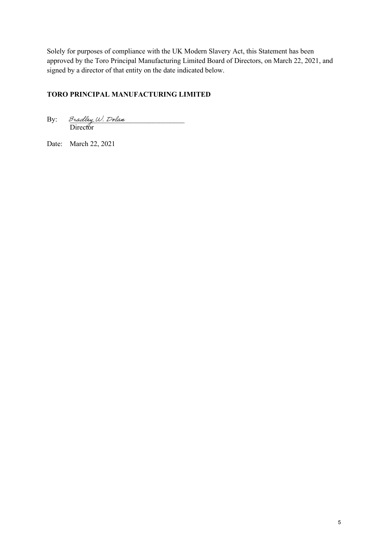Solely for purposes of compliance with the UK Modern Slavery Act, this Statement has been approved by the Toro Principal Manufacturing Limited Board of Directors, on March 22, 2021, and signed by a director of that entity on the date indicated below.

# **TORO PRINCIPAL MANUFACTURING LIMITED**

 $\mathrm{By:}\qquad$  Bradley W. Dolan Director

Date: March 22, 2021